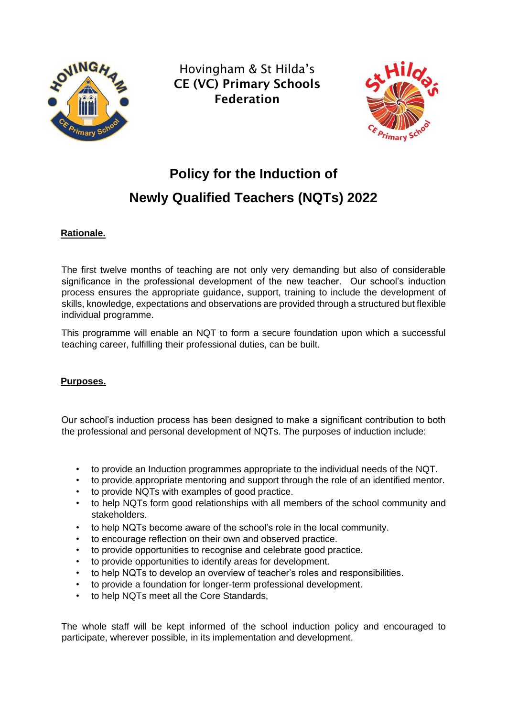

Hovingham & St Hilda's CE (VC) Primary Schools Federation



# **Policy for the Induction of Newly Qualified Teachers (NQTs) 2022**

# **Rationale.**

The first twelve months of teaching are not only very demanding but also of considerable significance in the professional development of the new teacher. Our school's induction process ensures the appropriate guidance, support, training to include the development of skills, knowledge, expectations and observations are provided through a structured but flexible individual programme.

This programme will enable an NQT to form a secure foundation upon which a successful teaching career, fulfilling their professional duties, can be built.

## **Purposes.**

Our school's induction process has been designed to make a significant contribution to both the professional and personal development of NQTs. The purposes of induction include:

- to provide an Induction programmes appropriate to the individual needs of the NQT.
- to provide appropriate mentoring and support through the role of an identified mentor.
- to provide NQTs with examples of good practice.
- to help NQTs form good relationships with all members of the school community and stakeholders.
- to help NQTs become aware of the school's role in the local community.
- to encourage reflection on their own and observed practice.
- to provide opportunities to recognise and celebrate good practice.
- to provide opportunities to identify areas for development.
- to help NQTs to develop an overview of teacher's roles and responsibilities.
- to provide a foundation for longer-term professional development.
- to help NQTs meet all the Core Standards,

The whole staff will be kept informed of the school induction policy and encouraged to participate, wherever possible, in its implementation and development.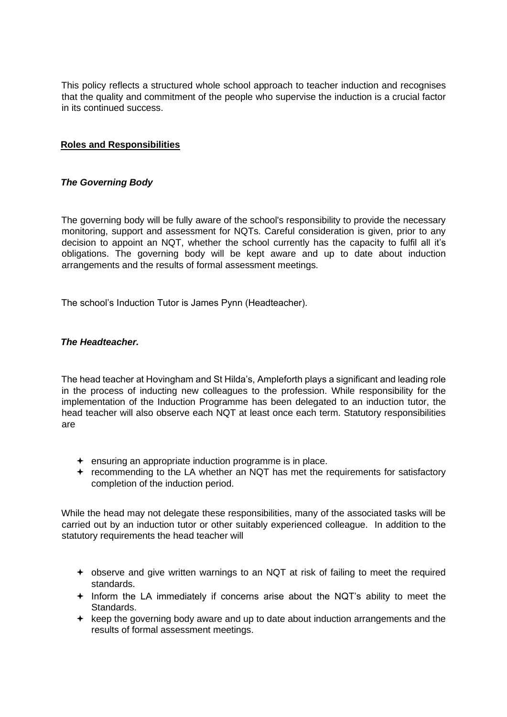This policy reflects a structured whole school approach to teacher induction and recognises that the quality and commitment of the people who supervise the induction is a crucial factor in its continued success.

# **Roles and Responsibilities**

## *The Governing Body*

The governing body will be fully aware of the school's responsibility to provide the necessary monitoring, support and assessment for NQTs. Careful consideration is given, prior to any decision to appoint an NQT, whether the school currently has the capacity to fulfil all it's obligations. The governing body will be kept aware and up to date about induction arrangements and the results of formal assessment meetings.

The school's Induction Tutor is James Pynn (Headteacher).

#### *The Headteacher.*

The head teacher at Hovingham and St Hilda's, Ampleforth plays a significant and leading role in the process of inducting new colleagues to the profession. While responsibility for the implementation of the Induction Programme has been delegated to an induction tutor, the head teacher will also observe each NQT at least once each term. Statutory responsibilities are

- $\div$  ensuring an appropriate induction programme is in place.
- recommending to the LA whether an NQT has met the requirements for satisfactory completion of the induction period.

While the head may not delegate these responsibilities, many of the associated tasks will be carried out by an induction tutor or other suitably experienced colleague. In addition to the statutory requirements the head teacher will

- observe and give written warnings to an NQT at risk of failing to meet the required standards.
- $+$  Inform the LA immediately if concerns arise about the NQT's ability to meet the Standards.
- $\div$  keep the governing body aware and up to date about induction arrangements and the results of formal assessment meetings.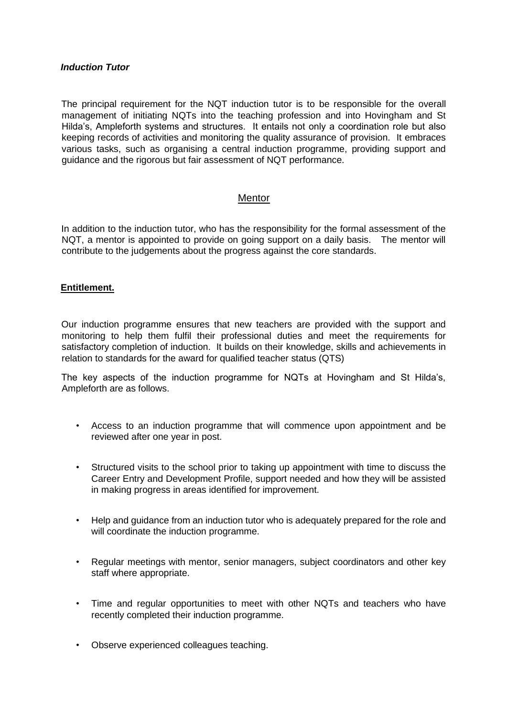#### *Induction Tutor*

The principal requirement for the NQT induction tutor is to be responsible for the overall management of initiating NQTs into the teaching profession and into Hovingham and St Hilda's, Ampleforth systems and structures. It entails not only a coordination role but also keeping records of activities and monitoring the quality assurance of provision. It embraces various tasks, such as organising a central induction programme, providing support and guidance and the rigorous but fair assessment of NQT performance.

## Mentor

In addition to the induction tutor, who has the responsibility for the formal assessment of the NQT, a mentor is appointed to provide on going support on a daily basis. The mentor will contribute to the judgements about the progress against the core standards.

#### **Entitlement.**

Our induction programme ensures that new teachers are provided with the support and monitoring to help them fulfil their professional duties and meet the requirements for satisfactory completion of induction. It builds on their knowledge, skills and achievements in relation to standards for the award for qualified teacher status (QTS)

The key aspects of the induction programme for NQTs at Hovingham and St Hilda's, Ampleforth are as follows.

- Access to an induction programme that will commence upon appointment and be reviewed after one year in post.
- Structured visits to the school prior to taking up appointment with time to discuss the Career Entry and Development Profile, support needed and how they will be assisted in making progress in areas identified for improvement.
- Help and guidance from an induction tutor who is adequately prepared for the role and will coordinate the induction programme.
- Regular meetings with mentor, senior managers, subject coordinators and other key staff where appropriate.
- Time and regular opportunities to meet with other NQTs and teachers who have recently completed their induction programme.
- Observe experienced colleagues teaching.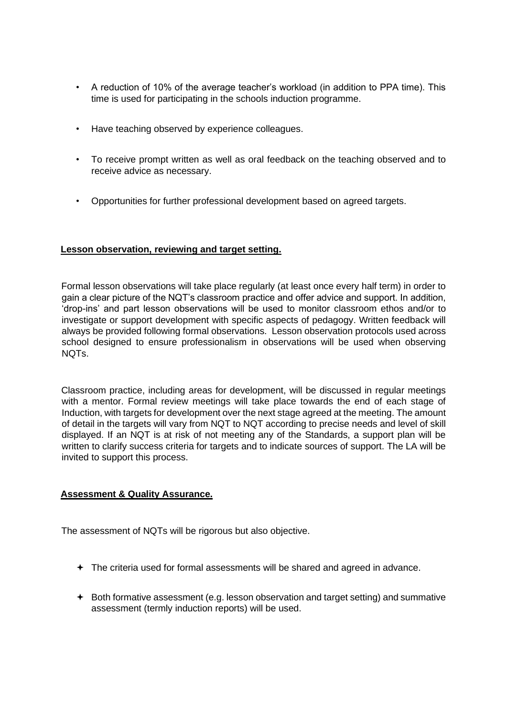- A reduction of 10% of the average teacher's workload (in addition to PPA time). This time is used for participating in the schools induction programme.
- Have teaching observed by experience colleagues.
- To receive prompt written as well as oral feedback on the teaching observed and to receive advice as necessary.
- Opportunities for further professional development based on agreed targets.

## **Lesson observation, reviewing and target setting.**

Formal lesson observations will take place regularly (at least once every half term) in order to gain a clear picture of the NQT's classroom practice and offer advice and support. In addition, 'drop-ins' and part lesson observations will be used to monitor classroom ethos and/or to investigate or support development with specific aspects of pedagogy. Written feedback will always be provided following formal observations. Lesson observation protocols used across school designed to ensure professionalism in observations will be used when observing NQTs.

Classroom practice, including areas for development, will be discussed in regular meetings with a mentor. Formal review meetings will take place towards the end of each stage of Induction, with targets for development over the next stage agreed at the meeting. The amount of detail in the targets will vary from NQT to NQT according to precise needs and level of skill displayed. If an NQT is at risk of not meeting any of the Standards, a support plan will be written to clarify success criteria for targets and to indicate sources of support. The LA will be invited to support this process.

## **Assessment & Quality Assurance.**

The assessment of NQTs will be rigorous but also objective.

- The criteria used for formal assessments will be shared and agreed in advance.
- $\triangle$  Both formative assessment (e.g. lesson observation and target setting) and summative assessment (termly induction reports) will be used.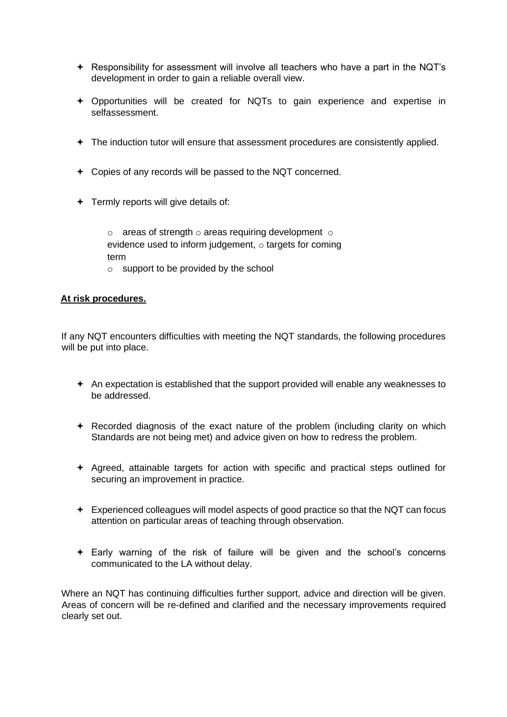- $\div$  Responsibility for assessment will involve all teachers who have a part in the NQT's development in order to gain a reliable overall view.
- Opportunities will be created for NQTs to gain experience and expertise in selfassessment.
- The induction tutor will ensure that assessment procedures are consistently applied.
- Copies of any records will be passed to the NQT concerned.
- $\div$  Termly reports will give details of:

 $\circ$  areas of strength  $\circ$  areas requiring development  $\circ$ evidence used to inform judgement, o targets for coming term

 $\circ$  support to be provided by the school

## **At risk procedures.**

If any NQT encounters difficulties with meeting the NQT standards, the following procedures will be put into place.

- $\triangle$  An expectation is established that the support provided will enable any weaknesses to be addressed.
- Recorded diagnosis of the exact nature of the problem (including clarity on which Standards are not being met) and advice given on how to redress the problem.
- $\div$  Agreed, attainable targets for action with specific and practical steps outlined for securing an improvement in practice.
- Experienced colleagues will model aspects of good practice so that the NQT can focus attention on particular areas of teaching through observation.
- Early warning of the risk of failure will be given and the school's concerns communicated to the LA without delay.

Where an NQT has continuing difficulties further support, advice and direction will be given. Areas of concern will be re-defined and clarified and the necessary improvements required clearly set out.